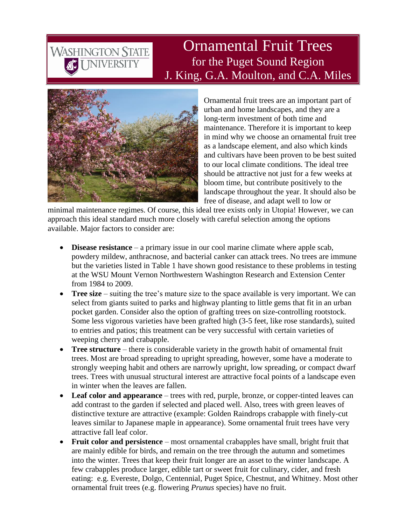## Ornamental Fruit Trees for the Puget Sound Region J. King, G.A. Moulton, and C.A. Miles



WASHINGTON STATE

Ornamental fruit trees are an important part of urban and home landscapes, and they are a long-term investment of both time and maintenance. Therefore it is important to keep in mind why we choose an ornamental fruit tree as a landscape element, and also which kinds and cultivars have been proven to be best suited to our local climate conditions. The ideal tree should be attractive not just for a few weeks at bloom time, but contribute positively to the landscape throughout the year. It should also be free of disease, and adapt well to low or

minimal maintenance regimes. Of course, this ideal tree exists only in Utopia! However, we can approach this ideal standard much more closely with careful selection among the options available. Major factors to consider are:

- **Disease resistance** a primary issue in our cool marine climate where apple scab, powdery mildew, anthracnose, and bacterial canker can attack trees. No trees are immune but the varieties listed in Table 1 have shown good resistance to these problems in testing at the WSU Mount Vernon Northwestern Washington Research and Extension Center from 1984 to 2009.
- **Tree size** suiting the tree's mature size to the space available is very important. We can select from giants suited to parks and highway planting to little gems that fit in an urban pocket garden. Consider also the option of grafting trees on size-controlling rootstock. Some less vigorous varieties have been grafted high (3-5 feet, like rose standards), suited to entries and patios; this treatment can be very successful with certain varieties of weeping cherry and crabapple.
- **Tree structure** there is considerable variety in the growth habit of ornamental fruit trees. Most are broad spreading to upright spreading, however, some have a moderate to strongly weeping habit and others are narrowly upright, low spreading, or compact dwarf trees. Trees with unusual structural interest are attractive focal points of a landscape even in winter when the leaves are fallen.
- **Leaf color and appearance** trees with red, purple, bronze, or copper-tinted leaves can add contrast to the garden if selected and placed well. Also, trees with green leaves of distinctive texture are attractive (example: Golden Raindrops crabapple with finely-cut leaves similar to Japanese maple in appearance). Some ornamental fruit trees have very attractive fall leaf color.
- **Fruit color and persistence** most ornamental crabapples have small, bright fruit that are mainly edible for birds, and remain on the tree through the autumn and sometimes into the winter. Trees that keep their fruit longer are an asset to the winter landscape. A few crabapples produce larger, edible tart or sweet fruit for culinary, cider, and fresh eating: e.g. Evereste, Dolgo, Centennial, Puget Spice, Chestnut, and Whitney. Most other ornamental fruit trees (e.g. flowering *Prunus* species) have no fruit.